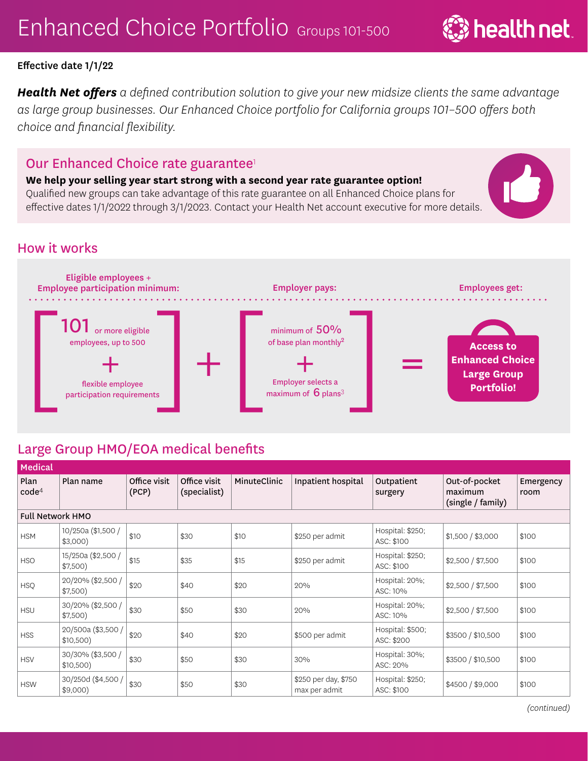*Health Net offers a defined contribution solution to give your new midsize clients the same advantage as large group businesses. Our Enhanced Choice portfolio for California groups 101–500 offers both choice and financial flexibility.* 

## Our Enhanced Choice rate guarantee<sup>1</sup>

**We help your selling year start strong with a second year rate guarantee option!** 

Qualified new groups can take advantage of this rate guarantee on all Enhanced Choice plans for effective dates 1/1/2022 through 3/1/2023. Contact your Health Net account executive for more details.

## How it works



## Large Group HMO/EOA medical benefits

| <b>Medical</b>            |                                  |                       |                              |              |                                       |                                |                                               |                   |  |  |
|---------------------------|----------------------------------|-----------------------|------------------------------|--------------|---------------------------------------|--------------------------------|-----------------------------------------------|-------------------|--|--|
| Plan<br>code <sup>4</sup> | Plan name                        | Office visit<br>(PCP) | Office visit<br>(specialist) | MinuteClinic | Inpatient hospital                    | Outpatient<br>surgery          | Out-of-pocket<br>maximum<br>(single / family) | Emergency<br>room |  |  |
| <b>Full Network HMO</b>   |                                  |                       |                              |              |                                       |                                |                                               |                   |  |  |
| <b>HSM</b>                | 10/250a (\$1,500 /<br>$$3,000$ ) | \$10                  | \$30                         | \$10         | \$250 per admit                       | Hospital: \$250;<br>ASC: \$100 | \$1,500 / \$3,000                             | \$100             |  |  |
| <b>HSO</b>                | 15/250a (\$2,500 /<br>\$7,500)   | \$15                  | \$35                         | \$15         | \$250 per admit                       | Hospital: \$250;<br>ASC: \$100 | \$2,500 / \$7,500                             | \$100             |  |  |
| <b>HSQ</b>                | 20/20% (\$2,500 /<br>\$7,500)    | \$20                  | \$40                         | \$20         | 20%                                   | Hospital: 20%;<br>ASC: 10%     | \$2,500 / \$7,500                             | \$100             |  |  |
| <b>HSU</b>                | 30/20% (\$2,500 /<br>\$7,500)    | \$30                  | \$50                         | \$30         | 20%                                   | Hospital: 20%;<br>ASC: 10%     | \$2,500 / \$7,500                             | \$100             |  |  |
| <b>HSS</b>                | 20/500a (\$3,500 /<br>\$10,500)  | \$20                  | \$40                         | \$20         | \$500 per admit                       | Hospital: \$500;<br>ASC: \$200 | \$3500 / \$10,500                             | \$100             |  |  |
| <b>HSV</b>                | 30/30% (\$3,500 /<br>\$10,500)   | \$30                  | \$50                         | \$30         | 30%                                   | Hospital: 30%;<br>ASC: 20%     | \$3500 / \$10,500                             | \$100             |  |  |
| <b>HSW</b>                | 30/250d (\$4,500 /<br>\$9,000    | \$30                  | \$50                         | \$30         | \$250 per day, \$750<br>max per admit | Hospital: \$250;<br>ASC: \$100 | \$4500 / \$9,000                              | \$100             |  |  |

 $\ddot{\ddot{\bm{z}}}$  health net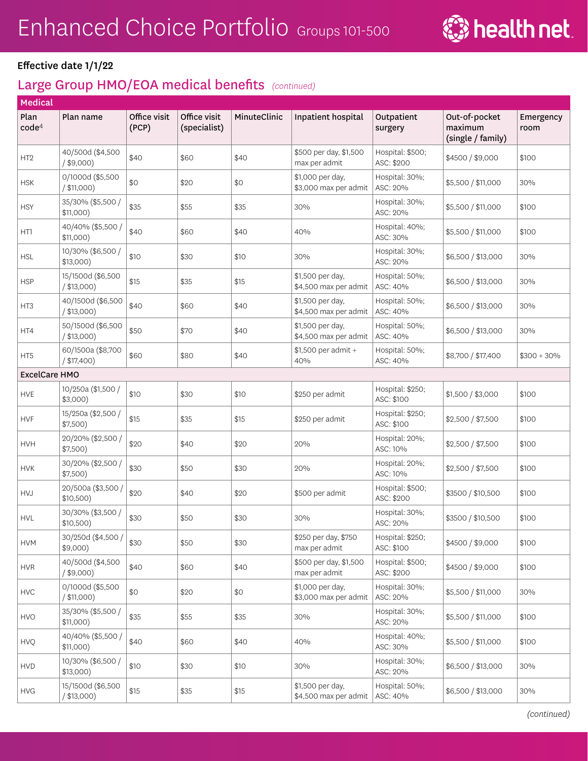

| Medical                   |                                    |                       |                              |              |                                           |                                |                                               |                   |
|---------------------------|------------------------------------|-----------------------|------------------------------|--------------|-------------------------------------------|--------------------------------|-----------------------------------------------|-------------------|
| Plan<br>code <sup>4</sup> | Plan name                          | Office visit<br>(PCP) | Office visit<br>(specialist) | MinuteClinic | Inpatient hospital                        | Outpatient<br>surgery          | Out-of-pocket<br>maximum<br>(single / family) | Emergency<br>room |
| HT <sub>2</sub>           | 40/500d (\$4,500<br>$/$ \$9,000)   | \$40                  | \$60                         | \$40         | \$500 per day, \$1,500<br>max per admit   | Hospital: \$500;<br>ASC: \$200 | \$4500 / \$9,000                              | \$100             |
| <b>HSK</b>                | 0/1000d (\$5,500<br>$/$ \$11,000)  | \$0                   | \$20                         | \$0          | \$1,000 per day,<br>\$3,000 max per admit | Hospital: 30%;<br>ASC: 20%     | \$5,500 / \$11,000                            | 30%               |
| <b>HSY</b>                | 35/30% (\$5,500 /<br>\$11,000)     | \$35                  | \$55                         | \$35         | 30%                                       | Hospital: 30%;<br>ASC: 20%     | \$5,500 / \$11,000                            | \$100             |
| HT1                       | 40/40% (\$5,500 /<br>\$11,000)     | \$40                  | \$60                         | \$40         | 40%                                       | Hospital: 40%;<br>ASC: 30%     | \$5,500 / \$11,000                            | \$100             |
| <b>HSL</b>                | 10/30% (\$6,500 /<br>$$13,000$ )   | \$10                  | \$30                         | \$10         | 30%                                       | Hospital: 30%;<br>ASC: 20%     | \$6,500 / \$13,000                            | 30%               |
| <b>HSP</b>                | 15/1500d (\$6,500<br>$/$ \$13,000) | \$15                  | \$35                         | \$15         | \$1,500 per day,<br>\$4,500 max per admit | Hospital: 50%;<br>ASC: 40%     | \$6,500 / \$13,000                            | 30%               |
| HT3                       | 40/1500d (\$6,500<br>/ \$13,000)   | \$40                  | \$60                         | \$40         | \$1,500 per day,<br>\$4,500 max per admit | Hospital: 50%;<br>ASC: 40%     | \$6,500 / \$13,000                            | 30%               |
| HT4                       | 50/1500d (\$6,500<br>$/$ \$13,000) | \$50                  | \$70                         | \$40         | \$1,500 per day,<br>\$4,500 max per admit | Hospital: 50%;<br>ASC: 40%     | \$6,500 / \$13,000                            | 30%               |
| HT5                       | 60/1500a (\$8,700<br>$/$ \$17,400) | \$60                  | \$80                         | \$40         | \$1,500 per admit +<br>40%                | Hospital: 50%;<br>ASC: 40%     | \$8,700 / \$17,400                            | $$300 + 30\%$     |
| <b>ExcelCare HMO</b>      |                                    |                       |                              |              |                                           |                                |                                               |                   |
| <b>HVE</b>                | 10/250a (\$1,500 /<br>$$3,000$ )   | \$10                  | \$30                         | \$10         | \$250 per admit                           | Hospital: \$250;<br>ASC: \$100 | \$1,500 / \$3,000                             | \$100             |
| <b>HVF</b>                | 15/250a (\$2,500 /<br>\$7,500)     | \$15                  | \$35                         | \$15         | \$250 per admit                           | Hospital: \$250;<br>ASC: \$100 | \$2,500 / \$7,500                             | \$100             |
| <b>HVH</b>                | 20/20% (\$2,500 /<br>\$7,500)      | \$20                  | \$40                         | \$20         | 20%                                       | Hospital: 20%;<br>ASC: 10%     | \$2,500 / \$7,500                             | \$100             |
| <b>HVK</b>                | 30/20% (\$2,500 /<br>\$7,500)      | \$30                  | \$50                         | \$30         | 20%                                       | Hospital: 20%;<br>ASC: 10%     | \$2,500 / \$7,500                             | \$100             |
| <b>HVJ</b>                | 20/500a (\$3,500 /<br>\$10,500)    | \$20                  | \$40                         | \$20         | \$500 per admit                           | Hospital: \$500;<br>ASC: \$200 | \$3500 / \$10,500                             | \$100             |
| <b>HVL</b>                | 30/30% (\$3,500 /<br>\$10,500)     | \$30                  | \$50                         | \$30         | 30%                                       | Hospital: 30%;<br>ASC: 20%     | \$3500 / \$10,500                             | \$100             |
| <b>HVM</b>                | 30/250d (\$4,500 /<br>$$9,000$ )   | \$30                  | \$50                         | \$30         | \$250 per day, \$750<br>max per admit     | Hospital: \$250;<br>ASC: \$100 | \$4500 / \$9,000                              | \$100             |
| <b>HVR</b>                | 40/500d (\$4,500<br>$/$ \$9,000)   | \$40                  | \$60                         | \$40         | \$500 per day, \$1,500<br>max per admit   | Hospital: \$500;<br>ASC: \$200 | \$4500 / \$9,000                              | \$100             |
| <b>HVC</b>                | 0/1000d (\$5,500<br>$/$ \$11,000)  | \$0                   | \$20                         | \$0          | \$1,000 per day,<br>\$3,000 max per admit | Hospital: 30%;<br>ASC: 20%     | \$5,500 / \$11,000                            | 30%               |
| HVO                       | 35/30% (\$5,500 /<br>\$11,000)     | \$35                  | \$55                         | \$35         | 30%                                       | Hospital: 30%;<br>ASC: 20%     | \$5,500 / \$11,000                            | \$100             |
| <b>HVQ</b>                | 40/40% (\$5,500 /<br>\$11,000)     | \$40                  | \$60                         | \$40         | 40%                                       | Hospital: 40%;<br>ASC: 30%     | \$5,500 / \$11,000                            | \$100             |
| ${\sf HVD}$               | 10/30% (\$6,500 /<br>$$13,000$ )   | \$10                  | \$30                         | \$10         | 30%                                       | Hospital: 30%;<br>ASC: 20%     | \$6,500 / \$13,000                            | 30%               |
| <b>HVG</b>                | 15/1500d (\$6,500<br>/ \$13,000)   | \$15                  | \$35                         | \$15         | \$1,500 per day,<br>\$4,500 max per admit | Hospital: 50%;<br>ASC: 40%     | \$6,500 / \$13,000                            | 30%               |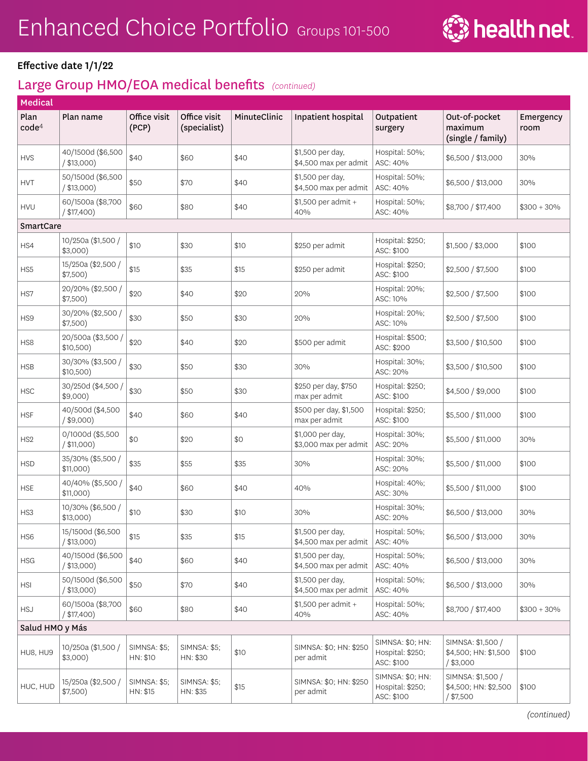

| Medical                   |                                    |                                 |                                 |              |                                           |                                                    |                                                          |                   |
|---------------------------|------------------------------------|---------------------------------|---------------------------------|--------------|-------------------------------------------|----------------------------------------------------|----------------------------------------------------------|-------------------|
| Plan<br>code <sup>4</sup> | Plan name                          | Office visit<br>(PCP)           | Office visit<br>(specialist)    | MinuteClinic | Inpatient hospital                        | Outpatient<br>surgery                              | Out-of-pocket<br>maximum<br>(single / family)            | Emergency<br>room |
| <b>HVS</b>                | 40/1500d (\$6,500<br>$/$ \$13,000) | \$40                            | \$60                            | \$40         | \$1,500 per day,<br>\$4,500 max per admit | Hospital: 50%;<br>ASC: 40%                         | \$6,500 / \$13,000                                       | 30%               |
| <b>HVT</b>                | 50/1500d (\$6,500<br>$/$ \$13,000) | \$50                            | \$70                            | \$40         | \$1,500 per day,<br>\$4,500 max per admit | Hospital: 50%;<br>ASC: 40%                         | \$6,500 / \$13,000                                       | 30%               |
| <b>HVU</b>                | 60/1500a (\$8,700<br>$/$ \$17,400) | \$60                            | \$80                            | \$40         | \$1,500 per admit +<br>40%                | Hospital: 50%;<br>ASC: 40%                         | \$8,700 / \$17,400                                       | $$300 + 30\%$     |
| SmartCare                 |                                    |                                 |                                 |              |                                           |                                                    |                                                          |                   |
| HS4                       | 10/250a (\$1,500 /<br>$$3,000$ )   | \$10                            | \$30                            | \$10         | \$250 per admit                           | Hospital: \$250;<br>ASC: \$100                     | \$1,500 / \$3,000                                        | \$100             |
| HS5                       | 15/250a (\$2,500 /<br>\$7,500)     | \$15                            | \$35                            | \$15         | \$250 per admit                           | Hospital: \$250;<br>ASC: \$100                     | \$2,500 / \$7,500                                        | \$100             |
| HS7                       | 20/20% (\$2,500 /<br>\$7,500)      | \$20                            | \$40                            | \$20         | 20%                                       | Hospital: 20%;<br>ASC: 10%                         | \$2,500 / \$7,500                                        | \$100             |
| HS9                       | 30/20% (\$2,500 /<br>\$7,500)      | \$30                            | \$50                            | \$30         | 20%                                       | Hospital: 20%;<br>ASC: 10%                         | \$2,500 / \$7,500                                        | \$100             |
| HS8                       | 20/500a (\$3,500 /<br>\$10,500)    | \$20                            | \$40                            | \$20         | \$500 per admit                           | Hospital: \$500;<br>ASC: \$200                     | \$3,500 / \$10,500                                       | \$100             |
| <b>HSB</b>                | 30/30% (\$3,500 /<br>\$10,500)     | \$30                            | \$50                            | \$30         | 30%                                       | Hospital: 30%;<br>ASC: 20%                         | \$3,500 / \$10,500                                       | \$100             |
| <b>HSC</b>                | 30/250d (\$4,500)<br>$$9,000$ )    | \$30                            | \$50                            | \$30         | \$250 per day, \$750<br>max per admit     | Hospital: \$250;<br>ASC: \$100                     | \$4,500 / \$9,000                                        | \$100             |
| <b>HSF</b>                | 40/500d (\$4,500<br>$/$ \$9,000)   | \$40                            | \$60                            | \$40         | \$500 per day, \$1,500<br>max per admit   | Hospital: \$250;<br>ASC: \$100                     | \$5,500 / \$11,000                                       | \$100             |
| HS <sub>2</sub>           | 0/1000d (\$5,500<br>/ \$11,000)    | \$0                             | \$20                            | \$0          | \$1,000 per day,<br>\$3,000 max per admit | Hospital: 30%;<br>ASC: 20%                         | \$5,500 / \$11,000                                       | 30%               |
| <b>HSD</b>                | 35/30% (\$5,500 /<br>$$11,000$ )   | \$35                            | \$55                            | \$35         | 30%                                       | Hospital: 30%;<br>ASC: 20%                         | \$5,500 / \$11,000                                       | \$100             |
| <b>HSE</b>                | 40/40% (\$5,500 /<br>$$11,000$ )   | \$40                            | \$60                            | \$40         | 40%                                       | Hospital: 40%;<br>ASC: 30%                         | \$5,500 / \$11,000                                       | \$100             |
| HS3                       | 10/30% (\$6,500 /<br>$$13,000$ )   | \$10                            | \$30                            | \$10         | 30%                                       | Hospital: 30%;<br>ASC: 20%                         | \$6,500 / \$13,000                                       | 30%               |
| HS6                       | 15/1500d (\$6,500<br>/ \$13,000)   | \$15                            | \$35                            | \$15         | \$1,500 per day,<br>\$4,500 max per admit | Hospital: 50%;<br>ASC: 40%                         | \$6,500 / \$13,000                                       | 30%               |
| <b>HSG</b>                | 40/1500d (\$6,500<br>$/$ \$13,000) | \$40                            | \$60                            | \$40         | \$1,500 per day,<br>\$4,500 max per admit | Hospital: 50%;<br>ASC: 40%                         | \$6,500 / \$13,000                                       | 30%               |
| <b>HSI</b>                | 50/1500d (\$6,500<br>$/$ \$13,000) | \$50                            | \$70                            | \$40         | \$1,500 per day,<br>\$4,500 max per admit | Hospital: 50%;<br>ASC: 40%                         | \$6,500 / \$13,000                                       | 30%               |
| <b>HSJ</b>                | 60/1500a (\$8,700<br>/ \$17,400)   | \$60                            | \$80                            | \$40         | \$1,500 per admit +<br>40%                | Hospital: 50%;<br>ASC: 40%                         | \$8,700 / \$17,400                                       | $$300 + 30\%$     |
| Salud HMO y Más           |                                    |                                 |                                 |              |                                           |                                                    |                                                          |                   |
| HU8, HU9                  | 10/250a (\$1,500 /<br>$$3,000$ )   | <b>SIMNSA: \$5;</b><br>HN: \$10 | <b>SIMNSA: \$5;</b><br>HN: \$30 | \$10         | SIMNSA: \$0; HN: \$250<br>per admit       | SIMNSA: \$0; HN:<br>Hospital: \$250;<br>ASC: \$100 | SIMNSA: \$1,500 /<br>\$4,500; HN: \$1,500<br>$/$ \$3,000 | \$100             |
| HUC, HUD                  | 15/250a (\$2,500 /<br>\$7,500)     | <b>SIMNSA: \$5;</b><br>HN: \$15 | <b>SIMNSA: \$5;</b><br>HN: \$35 | \$15         | SIMNSA: \$0; HN: \$250<br>per admit       | SIMNSA: \$0; HN:<br>Hospital: \$250;<br>ASC: \$100 | SIMNSA: \$1,500 /<br>\$4,500; HN: \$2,500<br>/ \$7,500   | \$100             |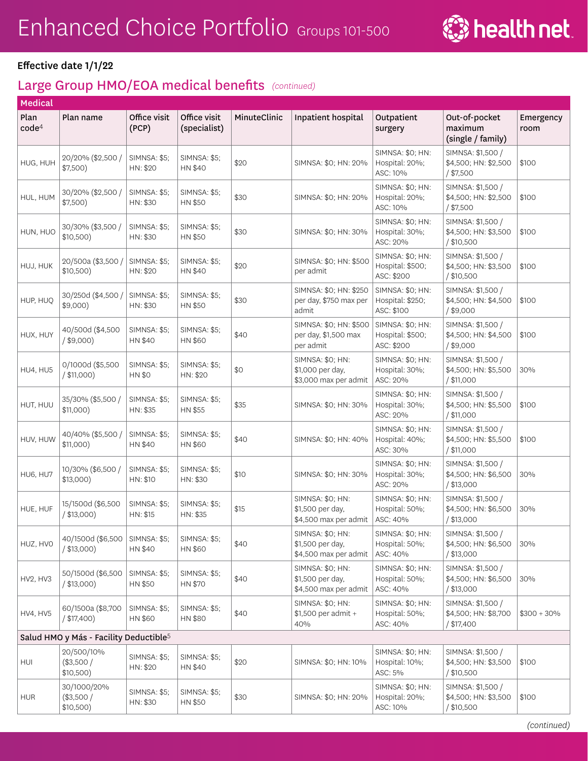

| <b>Medical</b>            |                                                    |                                      |                                       |              |                                                               |                                                    |                                                           |                   |
|---------------------------|----------------------------------------------------|--------------------------------------|---------------------------------------|--------------|---------------------------------------------------------------|----------------------------------------------------|-----------------------------------------------------------|-------------------|
| Plan<br>code <sup>4</sup> | Plan name                                          | Office visit<br>(PCP)                | Office visit<br>(specialist)          | MinuteClinic | Inpatient hospital                                            | Outpatient<br>surgery                              | Out-of-pocket<br>maximum<br>(single / family)             | Emergency<br>room |
| HUG, HUH                  | 20/20% (\$2,500 /<br>\$7,500)                      | <b>SIMNSA: \$5;</b><br>HN: \$20      | <b>SIMNSA: \$5:</b><br><b>HN \$40</b> | \$20         | SIMNSA: \$0; HN: 20%                                          | SIMNSA: \$0; HN:<br>Hospital: 20%;<br>ASC: 10%     | SIMNSA: \$1,500 /<br>\$4,500; HN: \$2,500<br>$/$ \$7,500  | \$100             |
| HUL, HUM                  | 30/20% (\$2,500 /<br>$$7,500$ )                    | SIMNSA: \$5;<br>HN: \$30             | <b>SIMNSA: \$5;</b><br>HN \$50        | \$30         | SIMNSA: \$0; HN: 20%                                          | SIMNSA: \$0; HN:<br>Hospital: 20%;<br>ASC: 10%     | SIMNSA: \$1,500 /<br>\$4,500; HN: \$2,500<br>$/$ \$7,500  | \$100             |
| HUN, HUO                  | 30/30% (\$3,500 /<br>\$10,500)                     | SIMNSA: \$5;<br>HN: \$30             | <b>SIMNSA: \$5;</b><br>HN \$50        | \$30         | SIMNSA: \$0; HN: 30%                                          | SIMNSA: \$0; HN:<br>Hospital: 30%;<br>ASC: 20%     | SIMNSA: \$1,500 /<br>\$4,500; HN: \$3,500<br>/ \$10,500   | \$100             |
| HUJ, HUK                  | 20/500a (\$3,500)<br>\$10,500)                     | <b>SIMNSA: \$5;</b><br>HN: \$20      | <b>SIMNSA: \$5;</b><br>HN \$40        | \$20         | SIMNSA: \$0; HN: \$500<br>per admit                           | SIMNSA: \$0; HN:<br>Hospital: \$500;<br>ASC: \$200 | SIMNSA: \$1,500 /<br>\$4,500; HN: \$3,500<br>/ \$10,500   | \$100             |
| HUP, HUO                  | 30/250d (\$4,500 /<br>$$9,000$ )                   | SIMNSA: \$5;<br>HN: \$30             | <b>SIMNSA: \$5;</b><br>HN \$50        | \$30         | SIMNSA: \$0; HN: \$250<br>per day, \$750 max per<br>admit     | SIMNSA: \$0; HN:<br>Hospital: \$250;<br>ASC: \$100 | SIMNSA: \$1,500 /<br>\$4,500; HN: \$4,500<br>$/$ \$9,000  | \$100             |
| HUX, HUY                  | 40/500d (\$4,500<br>$/$ \$9,000)                   | SIMNSA: \$5;<br>HN \$40              | <b>SIMNSA: \$5;</b><br>HN \$60        | \$40         | SIMNSA: \$0; HN: \$500<br>per day, \$1,500 max<br>per admit   | SIMNSA: \$0; HN:<br>Hospital: \$500;<br>ASC: \$200 | SIMNSA: \$1,500 /<br>\$4,500; HN: \$4,500<br>/\$9,000     | \$100             |
| HU4, HU5                  | 0/1000d (\$5,500<br>/ \$11,000                     | <b>SIMNSA: \$5;</b><br><b>HN \$0</b> | <b>SIMNSA: \$5;</b><br>HN: \$20       | \$0          | SIMNSA: \$0; HN:<br>\$1,000 per day,<br>\$3,000 max per admit | SIMNSA: \$0; HN:<br>Hospital: 30%;<br>ASC: 20%     | SIMNSA: \$1,500 /<br>\$4,500; HN: \$5,500<br>/ \$11,000   | 30%               |
| HUT, HUU                  | 35/30% (\$5,500 /<br>\$11,000)                     | SIMNSA: \$5;<br>HN: \$35             | <b>SIMNSA: \$5;</b><br>HN \$55        | \$35         | SIMNSA: \$0; HN: 30%                                          | SIMNSA: \$0; HN:<br>Hospital: 30%;<br>ASC: 20%     | SIMNSA: \$1,500 /<br>\$4,500; HN: \$5,500<br>/ \$11,000   | \$100             |
| HUV, HUW                  | 40/40% (\$5,500 /<br>\$11,000)                     | <b>SIMNSA: \$5;</b><br>HN \$40       | SIMNSA: \$5;<br>HN \$60               | \$40         | SIMNSA: \$0; HN: 40%                                          | SIMNSA: \$0; HN:<br>Hospital: 40%;<br>ASC: 30%     | SIMNSA: \$1,500 /<br>\$4,500; HN: \$5,500<br>/ \$11,000   | \$100             |
| HU6, HU7                  | 10/30% (\$6,500 /<br>$$13,000$ )                   | <b>SIMNSA: \$5;</b><br>HN: \$10      | <b>SIMNSA: \$5;</b><br>HN: \$30       | \$10         | SIMNSA: \$0; HN: 30%                                          | SIMNSA: \$0; HN:<br>Hospital: 30%;<br>ASC: 20%     | SIMNSA: \$1,500 /<br>\$4,500; HN: \$6,500<br>$/$ \$13,000 | 30%               |
| HUE, HUF                  | 15/1500d (\$6,500<br>$/$ \$13,000)                 | <b>SIMNSA: \$5;</b><br>HN: \$15      | <b>SIMNSA: \$5;</b><br>HN: \$35       | \$15         | SIMNSA: \$0; HN:<br>\$1,500 per day,<br>\$4,500 max per admit | SIMNSA: \$0; HN:<br>Hospital: 50%;<br>ASC: 40%     | SIMNSA: \$1,500 /<br>\$4,500; HN: \$6,500<br>/ \$13,000   | 30%               |
| HUZ, HVO                  | 40/1500d (\$6,500<br>$/$ \$13,000)                 | <b>SIMNSA: \$5;</b><br>HN \$40       | <b>SIMNSA: \$5;</b><br>HN \$60        | \$40         | SIMNSA: \$0; HN:<br>\$1,500 per day,<br>\$4,500 max per admit | SIMNSA: \$0; HN:<br>Hospital: 50%;<br>ASC: 40%     | SIMNSA: \$1,500 /<br>\$4,500; HN: \$6,500<br>/ \$13,000   | 30%               |
| HV2, HV3                  | 50/1500d (\$6,500<br>$/$ \$13,000)                 | <b>SIMNSA: \$5;</b><br>HN \$50       | <b>SIMNSA: \$5;</b><br>HN \$70        | \$40         | SIMNSA: \$0; HN:<br>\$1,500 per day,<br>\$4,500 max per admit | SIMNSA: \$0; HN:<br>Hospital: 50%;<br>ASC: 40%     | SIMNSA: \$1,500 /<br>\$4,500; HN: \$6,500<br>/ \$13,000   | 30%               |
| <b>HV4, HV5</b>           | 60/1500a (\$8,700<br>$/$ \$17,400)                 | <b>SIMNSA: \$5;</b><br>HN \$60       | <b>SIMNSA: \$5;</b><br>HN \$80        | \$40         | SIMNSA: \$0; HN:<br>\$1,500 per admit +<br>40%                | SIMNSA: \$0; HN:<br>Hospital: 50%;<br>ASC: 40%     | SIMNSA: \$1,500 /<br>\$4,500; HN: \$8,700<br>/ \$17,400   | $$300 + 30\%$     |
|                           | Salud HMO y Más - Facility Deductible <sup>5</sup> |                                      |                                       |              |                                                               |                                                    |                                                           |                   |
| HUI                       | 20/500/10%<br>(\$3,500/<br>\$10,500)               | <b>SIMNSA: \$5;</b><br>HN: \$20      | <b>SIMNSA: \$5;</b><br>HN \$40        | \$20         | SIMNSA: \$0; HN: 10%                                          | SIMNSA: \$0; HN:<br>Hospital: 10%;<br>ASC: 5%      | SIMNSA: \$1,500 /<br>\$4,500; HN: \$3,500<br>/ \$10,500   | \$100             |
| <b>HUR</b>                | 30/1000/20%<br>$(*3,500/$<br>\$10,500)             | <b>SIMNSA: \$5;</b><br>HN: \$30      | <b>SIMNSA: \$5;</b><br>HN \$50        | \$30         | SIMNSA: \$0; HN: 20%                                          | SIMNSA: \$0; HN:<br>Hospital: 20%;<br>ASC: 10%     | SIMNSA: \$1,500 /<br>\$4,500; HN: \$3,500<br>/ \$10,500   | \$100             |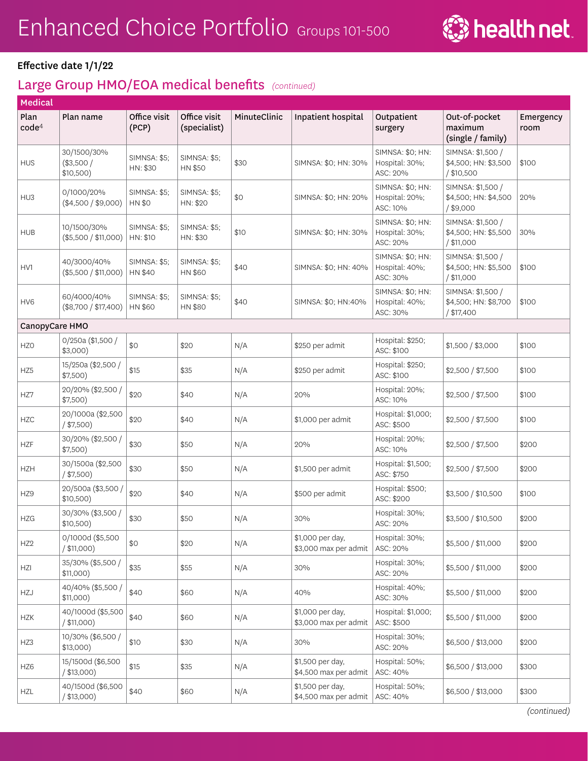

| Medical                   |                                          |                                 |                                 |              |                                           |                                                |                                                          |                   |
|---------------------------|------------------------------------------|---------------------------------|---------------------------------|--------------|-------------------------------------------|------------------------------------------------|----------------------------------------------------------|-------------------|
| Plan<br>code <sup>4</sup> | Plan name                                | Office visit<br>(PCP)           | Office visit<br>(specialist)    | MinuteClinic | Inpatient hospital                        | Outpatient<br>surgery                          | Out-of-pocket<br>maximum<br>(single / family)            | Emergency<br>room |
| <b>HUS</b>                | 30/1500/30%<br>$(*3,500/$<br>$$10,500$ ) | <b>SIMNSA: \$5;</b><br>HN: \$30 | <b>SIMNSA: \$5;</b><br>HN \$50  | \$30         | SIMNSA: \$0; HN: 30%                      | SIMNSA: \$0; HN:<br>Hospital: 30%;<br>ASC: 20% | SIMNSA: \$1,500 /<br>\$4,500; HN: \$3,500<br>/ \$10,500  | \$100             |
| HU <sub>3</sub>           | 0/1000/20%<br>$(\$4,500 / \$9,000)$      | <b>SIMNSA: \$5;</b><br>HN \$0   | <b>SIMNSA: \$5;</b><br>HN: \$20 | \$0          | SIMNSA: \$0; HN: 20%                      | SIMNSA: \$0; HN:<br>Hospital: 20%;<br>ASC: 10% | SIMNSA: \$1,500 /<br>\$4,500; HN: \$4,500<br>$/$ \$9,000 | 20%               |
| <b>HUB</b>                | 10/1500/30%<br>(\$5,500 / \$11,000)      | <b>SIMNSA: \$5:</b><br>HN: \$10 | <b>SIMNSA: \$5:</b><br>HN: \$30 | \$10         | SIMNSA: \$0; HN: 30%                      | SIMNSA: \$0; HN:<br>Hospital: 30%;<br>ASC: 20% | SIMNSA: \$1,500 /<br>\$4,500; HN: \$5,500<br>/ \$11,000  | 30%               |
| HV1                       | 40/3000/40%<br>(\$5,500 / \$11,000)      | <b>SIMNSA: \$5;</b><br>HN \$40  | <b>SIMNSA: \$5;</b><br>HN \$60  | \$40         | SIMNSA: \$0; HN: 40%                      | SIMNSA: \$0; HN:<br>Hospital: 40%;<br>ASC: 30% | SIMNSA: \$1,500 /<br>\$4,500; HN: \$5,500<br>/ \$11,000  | \$100             |
| HV <sub>6</sub>           | 60/4000/40%<br>(\$8,700 / \$17,400)      | <b>SIMNSA: \$5;</b><br>HN \$60  | <b>SIMNSA: \$5;</b><br>HN \$80  | \$40         | SIMNSA: \$0; HN:40%                       | SIMNSA: \$0; HN:<br>Hospital: 40%;<br>ASC: 30% | SIMNSA: \$1,500 /<br>\$4,500; HN: \$8,700<br>/ \$17,400  | \$100             |
| CanopyCare HMO            |                                          |                                 |                                 |              |                                           |                                                |                                                          |                   |
| HZ <sub>0</sub>           | 0/250a (\$1,500 /<br>$$3,000$ )          | \$0                             | \$20                            | N/A          | \$250 per admit                           | Hospital: \$250;<br>ASC: \$100                 | \$1,500 / \$3,000                                        | \$100             |
| HZ5                       | 15/250a (\$2,500 /<br>\$7,500)           | \$15                            | \$35                            | N/A          | \$250 per admit                           | Hospital: \$250;<br>ASC: \$100                 | \$2,500 / \$7,500                                        | \$100             |
| HZ7                       | 20/20% (\$2,500 /<br>\$7,500)            | \$20                            | \$40                            | N/A          | 20%                                       | Hospital: 20%;<br>ASC: 10%                     | \$2,500 / \$7,500                                        | \$100             |
| <b>HZC</b>                | 20/1000a (\$2,500<br>$/$ \$7,500)        | \$20                            | \$40                            | N/A          | \$1,000 per admit                         | Hospital: \$1,000;<br>ASC: \$500               | \$2,500 / \$7,500                                        | \$100             |
| <b>HZF</b>                | 30/20% (\$2,500 /<br>\$7,500)            | \$30                            | \$50                            | N/A          | 20%                                       | Hospital: 20%;<br>ASC: 10%                     | \$2,500 / \$7,500                                        | \$200             |
| <b>HZH</b>                | 30/1500a (\$2,500<br>$/$ \$7,500)        | \$30                            | \$50                            | N/A          | \$1,500 per admit                         | Hospital: \$1,500;<br>ASC: \$750               | \$2,500 / \$7,500                                        | \$200             |
| HZ9                       | 20/500a (\$3,500 /<br>\$10,500)          | \$20                            | \$40                            | N/A          | \$500 per admit                           | Hospital: \$500;<br>ASC: \$200                 | \$3,500 / \$10,500                                       | \$100             |
| <b>HZG</b>                | 30/30% (\$3,500 /<br>\$10,500)           | \$30                            | \$50                            | N/A          | 30%                                       | Hospital: 30%;<br>ASC: 20%                     | \$3,500 / \$10,500                                       | \$200             |
| HZ <sub>2</sub>           | 0/1000d (\$5,500<br>/ \$11,000)          | \$0                             | \$20                            | N/A          | \$1,000 per day,<br>\$3,000 max per admit | Hospital: 30%;<br>ASC: 20%                     | \$5,500 / \$11,000                                       | \$200             |
| HZI                       | 35/30% (\$5,500 /<br>\$11,000)           | \$35                            | \$55                            | N/A          | 30%                                       | Hospital: 30%;<br>ASC: 20%                     | \$5,500 / \$11,000                                       | \$200             |
| HZJ                       | 40/40% (\$5,500 /<br>\$11,000)           | \$40                            | \$60                            | N/A          | 40%                                       | Hospital: 40%;<br>ASC: 30%                     | \$5,500 / \$11,000                                       | \$200             |
| <b>HZK</b>                | 40/1000d (\$5,500<br>/ \$11,000)         | \$40                            | \$60                            | N/A          | \$1,000 per day,<br>\$3,000 max per admit | Hospital: \$1,000;<br>ASC: \$500               | \$5,500 / \$11,000                                       | \$200             |
| HZ3                       | 10/30% (\$6,500 /<br>\$13,000)           | \$10                            | \$30                            | N/A          | 30%                                       | Hospital: 30%;<br>ASC: 20%                     | \$6,500 / \$13,000                                       | \$200             |
| HZ6                       | 15/1500d (\$6,500<br>$/$ \$13,000)       | \$15                            | \$35                            | N/A          | \$1,500 per day,<br>\$4,500 max per admit | Hospital: 50%;<br>ASC: 40%                     | \$6,500 / \$13,000                                       | \$300             |
| HZL                       | 40/1500d (\$6,500<br>/ \$13,000)         | \$40                            | \$60                            | N/A          | \$1,500 per day,<br>\$4,500 max per admit | Hospital: 50%;<br>ASC: 40%                     | \$6,500 / \$13,000                                       | \$300             |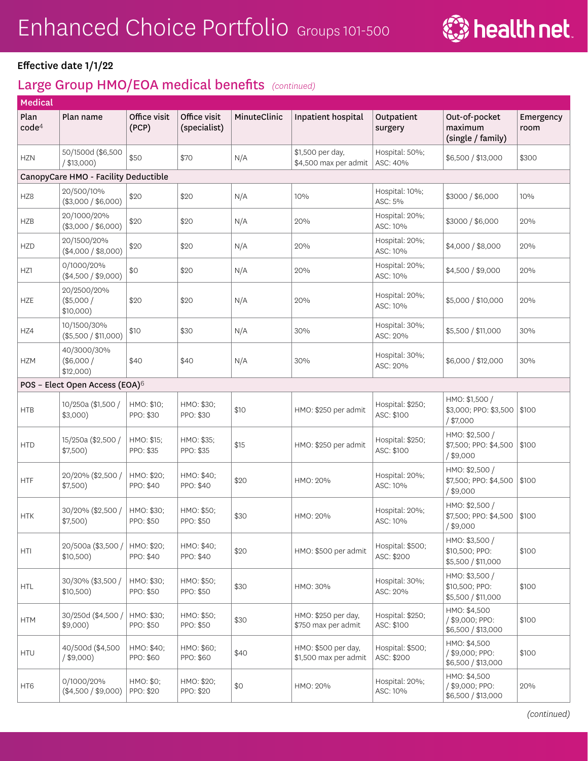

| Medical                   |                                            |                         |                              |              |                                              |                                |                                                        |                   |
|---------------------------|--------------------------------------------|-------------------------|------------------------------|--------------|----------------------------------------------|--------------------------------|--------------------------------------------------------|-------------------|
| Plan<br>code <sup>4</sup> | Plan name                                  | Office visit<br>(PCP)   | Office visit<br>(specialist) | MinuteClinic | Inpatient hospital                           | Outpatient<br>surgery          | Out-of-pocket<br>maximum<br>(single / family)          | Emergency<br>room |
| <b>HZN</b>                | 50/1500d (\$6,500<br>/ \$13,000)           | \$50                    | \$70                         | N/A          | \$1,500 per day,<br>\$4,500 max per admit    | Hospital: 50%;<br>ASC: 40%     | \$6,500 / \$13,000                                     | \$300             |
|                           | CanopyCare HMO - Facility Deductible       |                         |                              |              |                                              |                                |                                                        |                   |
| HZ8                       | 20/500/10%<br>(\$3,000 / \$6,000)          | \$20                    | \$20                         | N/A          | 10%                                          | Hospital: 10%;<br>ASC: 5%      | \$3000 / \$6,000                                       | 10%               |
| <b>HZB</b>                | 20/1000/20%<br>(\$3,000 / \$6,000)         | \$20                    | \$20                         | N/A          | 20%                                          | Hospital: 20%;<br>ASC: 10%     | \$3000 / \$6,000                                       | 20%               |
| <b>HZD</b>                | 20/1500/20%<br>$(\$4,000 / \$8,000)$       | \$20                    | \$20                         | N/A          | 20%                                          | Hospital: 20%;<br>ASC: 10%     | \$4,000 / \$8,000                                      | 20%               |
| HZ1                       | 0/1000/20%<br>$(\$4,500 / \$9,000)$        | \$0                     | \$20                         | N/A          | 20%                                          | Hospital: 20%;<br>ASC: 10%     | \$4,500 / \$9,000                                      | 20%               |
| <b>HZE</b>                | 20/2500/20%<br>(\$5,000/<br>\$10,000)      | \$20                    | \$20                         | N/A          | 20%                                          | Hospital: 20%;<br>ASC: 10%     | \$5,000 / \$10,000                                     | 20%               |
| HZ4                       | 10/1500/30%<br>(\$5,500 / \$11,000)        | \$10                    | \$30                         | N/A          | 30%                                          | Hospital: 30%;<br>ASC: 20%     | \$5,500 / \$11,000                                     | 30%               |
| <b>HZM</b>                | 40/3000/30%<br>(\$6,000/<br>\$12,000)      | \$40                    | \$40                         | N/A          | 30%                                          | Hospital: 30%;<br>ASC: 20%     | \$6,000 / \$12,000                                     | 30%               |
|                           | POS - Elect Open Access (EOA) <sup>6</sup> |                         |                              |              |                                              |                                |                                                        |                   |
| <b>HTB</b>                | 10/250a (\$1,500 /<br>$$3,000$ )           | HMO: \$10;<br>PPO: \$30 | HMO: \$30;<br>PPO: \$30      | \$10         | HMO: \$250 per admit                         | Hospital: \$250;<br>ASC: \$100 | HMO: \$1,500 /<br>\$3,000; PPO: \$3,500<br>$/$ \$7,000 | \$100             |
| <b>HTD</b>                | 15/250a (\$2,500 /<br>\$7,500)             | HMO: \$15;<br>PPO: \$35 | HMO: \$35;<br>PPO: \$35      | \$15         | HMO: \$250 per admit                         | Hospital: \$250;<br>ASC: \$100 | HMO: \$2,500 /<br>\$7,500; PPO: \$4,500<br>$/$ \$9,000 | \$100             |
| HTF                       | 20/20% (\$2,500 /<br>\$7,500)              | HMO: \$20;<br>PPO: \$40 | HMO: \$40;<br>PPO: \$40      | \$20         | HMO: 20%                                     | Hospital: 20%;<br>ASC: 10%     | HMO: \$2,500 /<br>\$7,500; PPO: \$4,500<br>$/$ \$9,000 | \$100             |
| <b>HTK</b>                | 30/20% (\$2,500 /<br>\$7,500)              | HMO: \$30;<br>PPO: \$50 | HMO: \$50;<br>PPO: \$50      | \$30         | HMO: 20%                                     | Hospital: 20%;<br>ASC: 10%     | HMO: \$2,500 /<br>\$7,500; PPO: \$4,500<br>$/$ \$9,000 | \$100             |
| HTI                       | 20/500a (\$3,500)<br>\$10,500)             | HMO: \$20:<br>PPO: \$40 | HMO: \$40;<br>PPO: \$40      | \$20         | HMO: \$500 per admit                         | Hospital: \$500;<br>ASC: \$200 | HMO: \$3,500 /<br>\$10,500; PPO:<br>\$5,500 / \$11,000 | \$100             |
| <b>HTL</b>                | 30/30% (\$3,500 /<br>\$10,500)             | HMO: \$30;<br>PPO: \$50 | HMO: \$50;<br>PPO: \$50      | \$30         | HMO: 30%                                     | Hospital: 30%;<br>ASC: 20%     | HMO: \$3,500 /<br>\$10,500; PPO:<br>\$5,500 / \$11,000 | \$100             |
| <b>HTM</b>                | 30/250d (\$4,500)<br>$$9,000$ )            | HMO: \$30;<br>PPO: \$50 | HMO: \$50;<br>PPO: \$50      | \$30         | HMO: \$250 per day,<br>\$750 max per admit   | Hospital: \$250;<br>ASC: \$100 | HMO: \$4,500<br>/ \$9,000; PPO:<br>\$6,500 / \$13,000  | \$100             |
| <b>HTU</b>                | 40/500d (\$4,500<br>$/$ \$9,000)           | HMO: \$40;<br>PPO: \$60 | HMO: \$60;<br>PPO: \$60      | \$40         | HMO: \$500 per day,<br>\$1,500 max per admit | Hospital: \$500;<br>ASC: \$200 | HMO: \$4,500<br>/ \$9,000; PPO:<br>\$6,500 / \$13,000  | \$100             |
| HT6                       | 0/1000/20%<br>$(\$4,500 / \$9,000)$        | HMO: \$0;<br>PPO: \$20  | HMO: \$20;<br>PPO: \$20      | \$0          | HMO: 20%                                     | Hospital: 20%;<br>ASC: 10%     | HMO: \$4,500<br>/ \$9,000; PPO:<br>\$6,500 / \$13,000  | 20%               |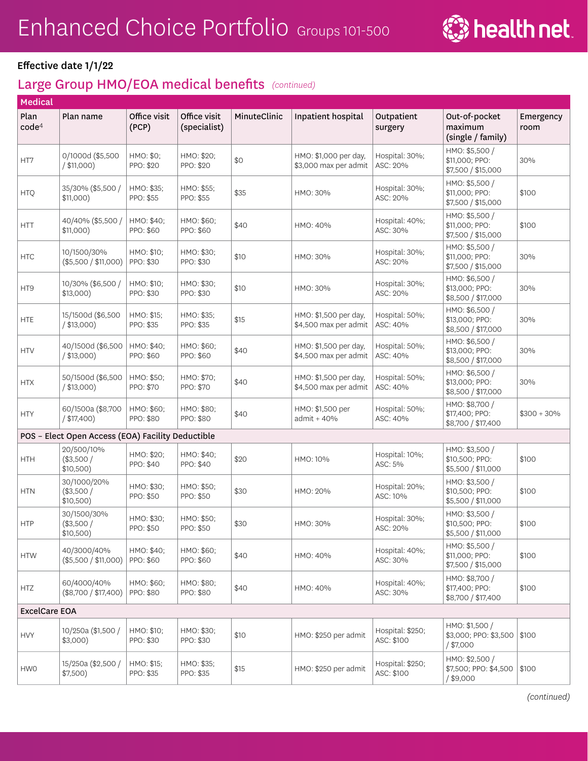

| <b>Medical</b>            |                                                   |                         |                              |              |                                                |                                |                                                        |                   |
|---------------------------|---------------------------------------------------|-------------------------|------------------------------|--------------|------------------------------------------------|--------------------------------|--------------------------------------------------------|-------------------|
| Plan<br>code <sup>4</sup> | Plan name                                         | Office visit<br>(PCP)   | Office visit<br>(specialist) | MinuteClinic | Inpatient hospital                             | Outpatient<br>surgery          | Out-of-pocket<br>maximum<br>(single / family)          | Emergency<br>room |
| HT7                       | 0/1000d (\$5,500<br>/ \$11,000)                   | HMO: \$0:<br>PPO: \$20  | HMO: \$20;<br>PPO: \$20      | \$0          | HMO: \$1,000 per day,<br>\$3,000 max per admit | Hospital: 30%;<br>ASC: 20%     | HMO: \$5,500 /<br>\$11,000; PPO:<br>\$7,500 / \$15,000 | 30%               |
| <b>HTQ</b>                | 35/30% (\$5,500 /<br>$$11,000$ )                  | HMO: \$35;<br>PPO: \$55 | HMO: \$55;<br>PPO: \$55      | \$35         | HMO: 30%                                       | Hospital: 30%;<br>ASC: 20%     | HMO: \$5,500 /<br>\$11,000; PPO:<br>\$7,500 / \$15,000 | \$100             |
| <b>HTT</b>                | 40/40% (\$5,500 /<br>$$11,000$ )                  | HMO: \$40;<br>PPO: \$60 | HMO: \$60;<br>PPO: \$60      | \$40         | HMO: 40%                                       | Hospital: 40%;<br>ASC: 30%     | HMO: \$5,500 /<br>\$11,000; PPO:<br>\$7,500 / \$15,000 | \$100             |
| <b>HTC</b>                | 10/1500/30%<br>(\$5,500 / \$11,000)               | HMO: \$10;<br>PPO: \$30 | HMO: \$30;<br>PPO: \$30      | \$10         | HMO: 30%                                       | Hospital: 30%;<br>ASC: 20%     | HMO: \$5,500 /<br>\$11,000; PPO:<br>\$7,500 / \$15,000 | 30%               |
| HT9                       | 10/30% (\$6,500 /<br>$$13,000$ )                  | HMO: \$10;<br>PPO: \$30 | HMO: \$30;<br>PPO: \$30      | \$10         | HMO: 30%                                       | Hospital: 30%;<br>ASC: 20%     | HMO: \$6,500 /<br>\$13,000; PPO:<br>\$8,500 / \$17,000 | 30%               |
| <b>HTE</b>                | 15/1500d (\$6,500<br>/ \$13,000)                  | HMO: \$15;<br>PPO: \$35 | HMO: \$35;<br>PPO: \$35      | \$15         | HMO: \$1,500 per day,<br>\$4,500 max per admit | Hospital: 50%;<br>ASC: 40%     | HMO: \$6,500 /<br>\$13,000; PPO:<br>\$8,500 / \$17,000 | 30%               |
| <b>HTV</b>                | 40/1500d (\$6,500<br>/ \$13,000                   | HMO: \$40;<br>PPO: \$60 | HMO: \$60;<br>PPO: \$60      | \$40         | HMO: \$1,500 per day,<br>\$4,500 max per admit | Hospital: 50%;<br>ASC: 40%     | HMO: \$6,500 /<br>\$13,000; PPO:<br>\$8,500 / \$17,000 | 30%               |
| <b>HTX</b>                | 50/1500d (\$6,500<br>$/$ \$13,000)                | HMO: \$50;<br>PPO: \$70 | HMO: \$70;<br>PPO: \$70      | \$40         | HMO: \$1,500 per day,<br>\$4,500 max per admit | Hospital: 50%;<br>ASC: 40%     | HMO: \$6,500 /<br>\$13,000; PPO:<br>\$8,500 / \$17,000 | 30%               |
| <b>HTY</b>                | 60/1500a (\$8,700<br>$/$ \$17,400)                | HMO: \$60;<br>PPO: \$80 | HMO: \$80;<br>PPO: \$80      | \$40         | HMO: \$1,500 per<br>$admit + 40%$              | Hospital: 50%;<br>ASC: 40%     | HMO: \$8,700 /<br>\$17,400; PPO:<br>\$8,700 / \$17,400 | $$300 + 30\%$     |
|                           | POS - Elect Open Access (EOA) Facility Deductible |                         |                              |              |                                                |                                |                                                        |                   |
| <b>HTH</b>                | 20/500/10%<br>(\$3,500/<br>\$10,500)              | HMO: \$20;<br>PPO: \$40 | HMO: \$40;<br>PPO: \$40      | \$20         | HMO: 10%                                       | Hospital: 10%;<br>ASC: 5%      | HMO: \$3,500 /<br>\$10,500; PPO:<br>\$5,500 / \$11,000 | \$100             |
| <b>HTN</b>                | 30/1000/20%<br>$(*3,500/$<br>\$10,500)            | HMO: \$30;<br>PPO: \$50 | HMO: \$50;<br>PPO: \$50      | \$30         | HMO: 20%                                       | Hospital: 20%;<br>ASC: 10%     | HMO: \$3,500 /<br>\$10,500; PPO:<br>\$5,500 / \$11,000 | \$100             |
| <b>HTP</b>                | 30/1500/30%<br>(\$3,500/<br>\$10,500)             | HMO: \$30;<br>PPO: \$50 | HMO: \$50;<br>PPO: \$50      | \$30         | HMO: 30%                                       | Hospital: 30%;<br>ASC: 20%     | HMO: \$3,500 /<br>\$10,500; PPO:<br>\$5,500 / \$11,000 | \$100             |
| <b>HTW</b>                | 40/3000/40%<br>(\$5,500 / \$11,000)               | HMO: \$40:<br>PPO: \$60 | HMO: \$60;<br>PPO: \$60      | \$40         | HMO: 40%                                       | Hospital: 40%;<br>ASC: 30%     | HMO: \$5,500 /<br>\$11,000; PPO:<br>\$7,500 / \$15,000 | \$100             |
| <b>HTZ</b>                | 60/4000/40%<br>(\$8,700 / \$17,400)               | HMO: \$60;<br>PPO: \$80 | HMO: \$80;<br>PPO: \$80      | \$40         | HMO: 40%                                       | Hospital: 40%;<br>ASC: 30%     | HMO: \$8,700 /<br>\$17,400; PPO:<br>\$8,700 / \$17,400 | \$100             |
| <b>ExcelCare EOA</b>      |                                                   |                         |                              |              |                                                |                                |                                                        |                   |
| <b>HVY</b>                | 10/250a (\$1,500 /<br>$$3,000$ )                  | HMO: \$10;<br>PPO: \$30 | HMO: \$30;<br>PPO: \$30      | \$10         | HMO: \$250 per admit                           | Hospital: \$250;<br>ASC: \$100 | HMO: \$1,500 /<br>\$3,000; PPO: \$3,500<br>$/$ \$7,000 | \$100             |
| <b>HWO</b>                | 15/250a (\$2,500 /<br>\$7,500)                    | HMO: \$15;<br>PPO: \$35 | HMO: \$35;<br>PPO: \$35      | \$15         | HMO: \$250 per admit                           | Hospital: \$250;<br>ASC: \$100 | HMO: \$2,500 /<br>\$7,500; PPO: \$4,500<br>$/$ \$9,000 | \$100             |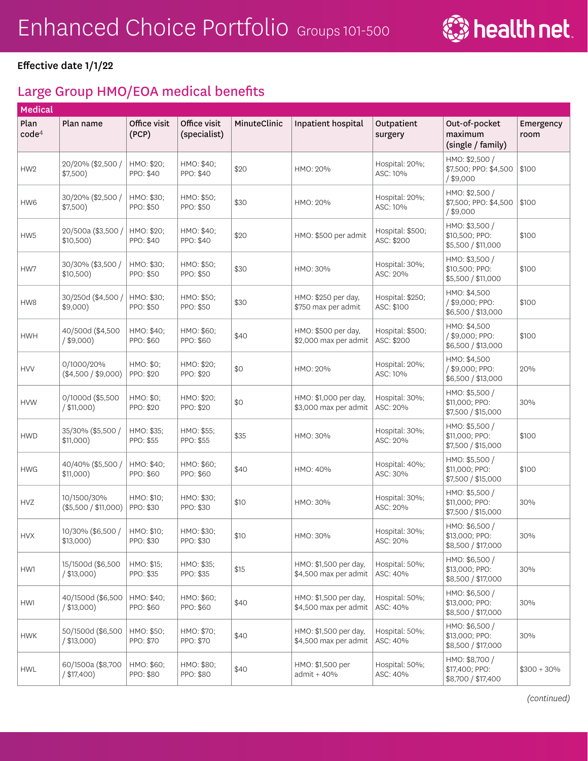

# Large Group HMO/EOA medical benefits

| Medical                   |                                     |                         |                              |              |                                                |                                |                                                        |                   |
|---------------------------|-------------------------------------|-------------------------|------------------------------|--------------|------------------------------------------------|--------------------------------|--------------------------------------------------------|-------------------|
| Plan<br>code <sup>4</sup> | Plan name                           | Office visit<br>(PCP)   | Office visit<br>(specialist) | MinuteClinic | Inpatient hospital                             | Outpatient<br>surgery          | Out-of-pocket<br>maximum<br>(single / family)          | Emergency<br>room |
| HW <sub>2</sub>           | 20/20% (\$2,500 /<br>\$7,500)       | HMO: \$20;<br>PPO: \$40 | HMO: \$40;<br>PPO: \$40      | \$20         | HMO: 20%                                       | Hospital: 20%;<br>ASC: 10%     | HMO: \$2,500 /<br>\$7,500; PPO: \$4,500<br>$/$ \$9,000 | \$100             |
| HW6                       | 30/20% (\$2,500 /<br>\$7,500)       | HMO: \$30;<br>PPO: \$50 | HMO: \$50;<br>PPO: \$50      | \$30         | HMO: 20%                                       | Hospital: 20%;<br>ASC: 10%     | HMO: \$2,500 /<br>\$7,500; PPO: \$4,500<br>$/$ \$9,000 | \$100             |
| HW <sub>5</sub>           | 20/500a (\$3,500)<br>$$10,500$ )    | HMO: \$20;<br>PPO: \$40 | HMO: \$40;<br>PPO: \$40      | \$20         | HMO: \$500 per admit                           | Hospital: \$500;<br>ASC: \$200 | HMO: \$3,500 /<br>\$10,500; PPO:<br>\$5,500 / \$11,000 | \$100             |
| HW7                       | 30/30% (\$3,500 /<br>\$10,500)      | HMO: \$30;<br>PPO: \$50 | HMO: \$50;<br>PPO: \$50      | \$30         | HMO: 30%                                       | Hospital: 30%;<br>ASC: 20%     | HMO: \$3,500 /<br>\$10,500; PPO:<br>\$5,500 / \$11,000 | \$100             |
| HW8                       | 30/250d (\$4,500)<br>$$9,000$ )     | HMO: \$30;<br>PPO: \$50 | HMO: \$50;<br>PPO: \$50      | \$30         | HMO: \$250 per day,<br>\$750 max per admit     | Hospital: \$250;<br>ASC: \$100 | HMO: \$4,500<br>/ \$9,000; PPO:<br>\$6,500 / \$13,000  | \$100             |
| <b>HWH</b>                | 40/500d (\$4,500<br>$/$ \$9,000)    | HMO: \$40;<br>PPO: \$60 | HMO: \$60;<br>PPO: \$60      | \$40         | HMO: \$500 per day,<br>\$2,000 max per admit   | Hospital: \$500;<br>ASC: \$200 | HMO: \$4,500<br>/ \$9,000; PPO:<br>\$6,500 / \$13,000  | \$100             |
| <b>HVV</b>                | 0/1000/20%<br>$(\$4,500 / \$9,000)$ | HMO: \$0;<br>PPO: \$20  | HMO: \$20;<br>PPO: \$20      | \$0          | HMO: 20%                                       | Hospital: 20%;<br>ASC: 10%     | HMO: \$4,500<br>/ \$9,000; PPO:<br>\$6,500 / \$13,000  | 20%               |
| <b>HVW</b>                | 0/1000d (\$5,500<br>/ \$11,000)     | HMO: \$0;<br>PPO: \$20  | HMO: \$20;<br>PPO: \$20      | \$0          | HMO: \$1,000 per day,<br>\$3,000 max per admit | Hospital: 30%;<br>ASC: 20%     | HMO: \$5,500 /<br>\$11,000; PPO:<br>\$7,500 / \$15,000 | 30%               |
| <b>HWD</b>                | 35/30% (\$5,500 /<br>$$11,000$ )    | HMO: \$35;<br>PPO: \$55 | HMO: \$55;<br>PPO: \$55      | \$35         | HMO: 30%                                       | Hospital: 30%;<br>ASC: 20%     | HMO: \$5,500 /<br>\$11,000; PPO:<br>\$7,500 / \$15,000 | \$100             |
| <b>HWG</b>                | 40/40% (\$5,500)<br>\$11,000)       | HMO: \$40;<br>PPO: \$60 | HMO: \$60;<br>PPO: \$60      | \$40         | HMO: 40%                                       | Hospital: 40%;<br>ASC: 30%     | HMO: \$5,500 /<br>\$11,000; PPO:<br>\$7,500 / \$15,000 | \$100             |
| <b>HVZ</b>                | 10/1500/30%<br>(\$5,500 / \$11,000) | HMO: \$10;<br>PPO: \$30 | HMO: \$30;<br>PPO: \$30      | \$10         | HMO: 30%                                       | Hospital: 30%;<br>ASC: 20%     | HMO: \$5,500 /<br>\$11,000; PPO:<br>\$7,500 / \$15,000 | 30%               |
| <b>HVX</b>                | 10/30% (\$6,500 /<br>$$13,000$ )    | HMO: \$10;<br>PPO: \$30 | HMO: \$30;<br>PPO: \$30      | \$10         | HMO: 30%                                       | Hospital: 30%;<br>ASC: 20%     | HMO: \$6,500 /<br>\$13,000; PPO:<br>\$8,500 / \$17,000 | 30%               |
| HW1                       | 15/1500d (\$6,500<br>/ \$13,000     | HMO: \$15;<br>PPO: \$35 | HMO: \$35;<br>PPO: \$35      | \$15         | HMO: \$1,500 per day,<br>\$4,500 max per admit | Hospital: 50%;<br>ASC: 40%     | HMO: \$6,500 /<br>\$13,000; PPO:<br>\$8,500 / \$17,000 | 30%               |
| HWI                       | 40/1500d (\$6,500<br>$/$ \$13,000)  | HMO: \$40;<br>PPO: \$60 | HMO: \$60;<br>PPO: \$60      | \$40         | HMO: \$1,500 per day,<br>\$4,500 max per admit | Hospital: 50%;<br>ASC: 40%     | HMO: \$6,500 /<br>\$13,000; PPO:<br>\$8,500 / \$17,000 | 30%               |
| <b>HWK</b>                | 50/1500d (\$6,500<br>/ \$13,000)    | HMO: \$50;<br>PPO: \$70 | HMO: \$70;<br>PPO: \$70      | \$40         | HMO: \$1,500 per day,<br>\$4,500 max per admit | Hospital: 50%;<br>ASC: 40%     | HMO: \$6,500 /<br>\$13,000; PPO:<br>\$8,500 / \$17,000 | 30%               |
| <b>HWL</b>                | 60/1500a (\$8,700<br>$/$ \$17,400)  | HMO: \$60;<br>PPO: \$80 | HMO: \$80;<br>PPO: \$80      | \$40         | HMO: \$1,500 per<br>$admit + 40%$              | Hospital: 50%;<br>ASC: 40%     | HMO: \$8,700 /<br>\$17,400; PPO:<br>\$8,700 / \$17,400 | $$300 + 30\%$     |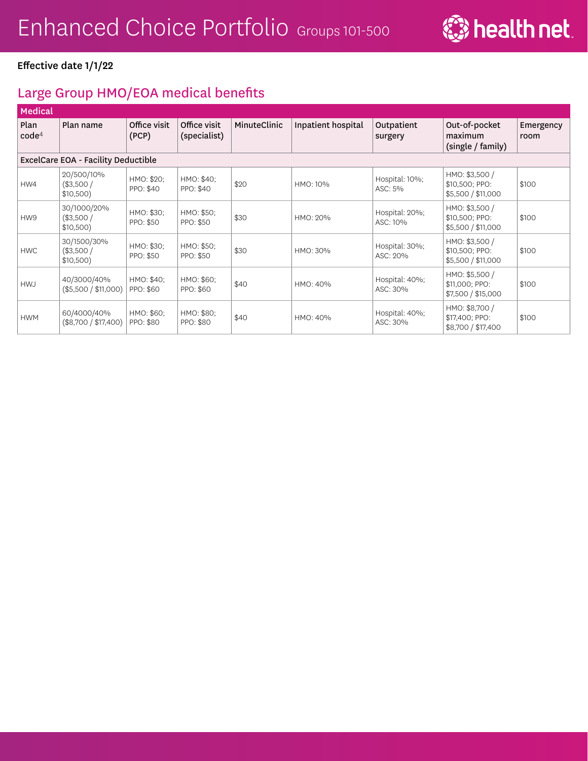

# Large Group HMO/EOA medical benefits

| <b>Medical</b>            |                                         |                         |                              |              |                    |                            |                                                        |                   |  |  |
|---------------------------|-----------------------------------------|-------------------------|------------------------------|--------------|--------------------|----------------------------|--------------------------------------------------------|-------------------|--|--|
| Plan<br>code <sup>4</sup> | Plan name                               | Office visit<br>(PCP)   | Office visit<br>(specialist) | MinuteClinic | Inpatient hospital | Outpatient<br>surgery      | Out-of-pocket<br>maximum<br>(single / family)          | Emergency<br>room |  |  |
|                           | ExcelCare EOA - Facility Deductible     |                         |                              |              |                    |                            |                                                        |                   |  |  |
| HW4                       | 20/500/10%<br>(\$3,500/<br>\$10,500)    | HMO: \$20;<br>PPO: \$40 | HMO: \$40;<br>PPO: \$40      | \$20         | HMO: 10%           | Hospital: 10%;<br>ASC: 5%  | HMO: \$3,500 /<br>\$10,500; PPO:<br>\$5,500 / \$11,000 | \$100             |  |  |
| HW9                       | 30/1000/20%<br>(\$3,500/<br>$$10,500$ ) | HMO: \$30;<br>PPO: \$50 | HMO: \$50;<br>PPO: \$50      | \$30         | HMO: 20%           | Hospital: 20%;<br>ASC: 10% | HMO: \$3,500 /<br>\$10,500; PPO:<br>\$5,500 / \$11,000 | \$100             |  |  |
| <b>HWC</b>                | 30/1500/30%<br>(\$3,500/<br>$$10,500$ ) | HMO: \$30;<br>PPO: \$50 | HMO: \$50;<br>PPO: \$50      | \$30         | HMO: 30%           | Hospital: 30%;<br>ASC: 20% | HMO: \$3,500 /<br>\$10,500; PPO:<br>\$5,500 / \$11,000 | \$100             |  |  |
| <b>HWJ</b>                | 40/3000/40%<br>(\$5,500 / \$11,000)     | HMO: \$40;<br>PPO: \$60 | HMO: \$60;<br>PPO: \$60      | \$40         | HMO: 40%           | Hospital: 40%;<br>ASC: 30% | HMO: \$5,500 /<br>\$11,000; PPO:<br>\$7,500 / \$15,000 | \$100             |  |  |
| <b>HWM</b>                | 60/4000/40%<br>(\$8,700 / \$17,400)     | HMO: \$60;<br>PPO: \$80 | HMO: \$80;<br>PPO: \$80      | \$40         | HMO: 40%           | Hospital: 40%;<br>ASC: 30% | HMO: \$8,700 /<br>\$17,400; PPO:<br>\$8,700 / \$17,400 | \$100             |  |  |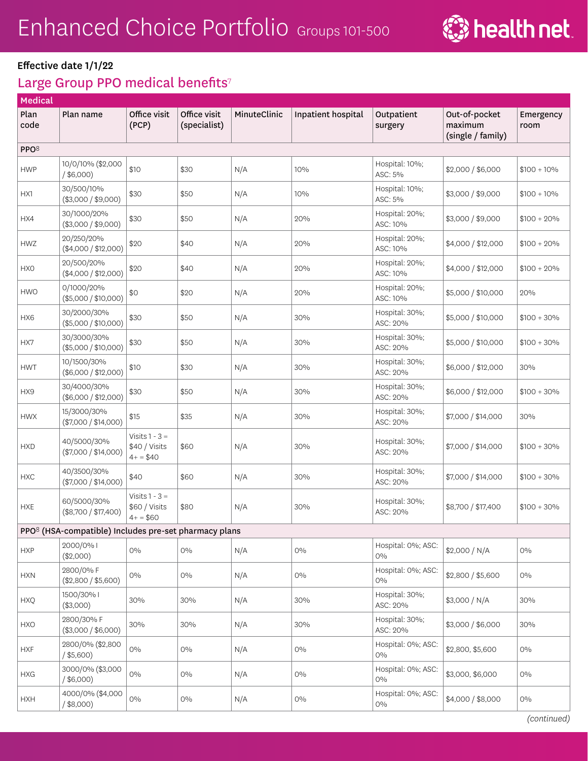

# Large Group PPO medical benefits<sup>7</sup>

| Medical          |                                                                   |                                                 |                              |              |                    |                             |                                               |                   |
|------------------|-------------------------------------------------------------------|-------------------------------------------------|------------------------------|--------------|--------------------|-----------------------------|-----------------------------------------------|-------------------|
| Plan<br>code     | Plan name                                                         | Office visit<br>(PCP)                           | Office visit<br>(specialist) | MinuteClinic | Inpatient hospital | Outpatient<br>surgery       | Out-of-pocket<br>maximum<br>(single / family) | Emergency<br>room |
| PPO <sup>8</sup> |                                                                   |                                                 |                              |              |                    |                             |                                               |                   |
| <b>HWP</b>       | 10/0/10% (\$2,000<br>$/$ \$6,000)                                 | \$10                                            | \$30                         | N/A          | 10%                | Hospital: 10%;<br>ASC: 5%   | \$2,000 / \$6,000                             | $$100 + 10\%$     |
| HX1              | 30/500/10%<br>(\$3,000 / \$9,000)                                 | \$30                                            | \$50                         | N/A          | 10%                | Hospital: 10%;<br>ASC: 5%   | \$3,000 / \$9,000                             | $$100 + 10\%$     |
| HX4              | 30/1000/20%<br>(\$3,000 / \$9,000)                                | \$30                                            | \$50                         | N/A          | 20%                | Hospital: 20%;<br>ASC: 10%  | \$3,000 / \$9,000                             | $$100 + 20\%$     |
| <b>HWZ</b>       | 20/250/20%<br>(\$4,000 / \$12,000)                                | \$20                                            | \$40                         | N/A          | 20%                | Hospital: 20%;<br>ASC: 10%  | \$4,000 / \$12,000                            | $$100 + 20\%$     |
| <b>HXO</b>       | 20/500/20%<br>(\$4,000 / \$12,000)                                | \$20                                            | \$40                         | N/A          | 20%                | Hospital: 20%;<br>ASC: 10%  | \$4,000 / \$12,000                            | $$100 + 20\%$     |
| <b>HWO</b>       | 0/1000/20%<br>(\$5,000 / \$10,000)                                | \$0                                             | \$20                         | N/A          | 20%                | Hospital: 20%;<br>ASC: 10%  | \$5,000 / \$10,000                            | 20%               |
| HX6              | 30/2000/30%<br>(\$5,000 / \$10,000)                               | \$30                                            | \$50                         | N/A          | 30%                | Hospital: 30%;<br>ASC: 20%  | \$5,000 / \$10,000                            | $$100 + 30\%$     |
| HX7              | 30/3000/30%<br>(\$5,000 / \$10,000)                               | \$30                                            | \$50                         | N/A          | 30%                | Hospital: 30%;<br>ASC: 20%  | \$5,000 / \$10,000                            | $$100 + 30\%$     |
| <b>HWT</b>       | 10/1500/30%<br>(\$6,000 / \$12,000)                               | \$10                                            | \$30                         | N/A          | 30%                | Hospital: 30%;<br>ASC: 20%  | \$6,000 / \$12,000                            | 30%               |
| HX9              | 30/4000/30%<br>(\$6,000 / \$12,000)                               | \$30                                            | \$50                         | N/A          | 30%                | Hospital: 30%;<br>ASC: 20%  | \$6,000 / \$12,000                            | $$100 + 30\%$     |
| <b>HWX</b>       | 15/3000/30%<br>(\$7,000 / \$14,000)                               | \$15                                            | \$35                         | N/A          | 30%                | Hospital: 30%;<br>ASC: 20%  | \$7,000 / \$14,000                            | 30%               |
| <b>HXD</b>       | 40/5000/30%<br>(\$7,000 / \$14,000)                               | Visits $1 - 3 =$<br>\$40 / Visits<br>$4+ = $40$ | \$60                         | N/A          | 30%                | Hospital: 30%;<br>ASC: 20%  | \$7,000 / \$14,000                            | $$100 + 30\%$     |
| <b>HXC</b>       | 40/3500/30%<br>$(\$7,000 / \$14,000)$                             | \$40                                            | \$60                         | N/A          | 30%                | Hospital: 30%;<br>ASC: 20%  | \$7,000 / \$14,000                            | $$100 + 30\%$     |
| <b>HXE</b>       | 60/5000/30%<br>(\$8,700 / \$17,400)                               | Visits $1 - 3 =$<br>\$60 / Visits<br>$4+ = $60$ | \$80                         | N/A          | 30%                | Hospital: 30%;<br>ASC: 20%  | \$8,700 / \$17,400                            | $$100 + 30\%$     |
|                  | PPO <sup>8</sup> (HSA-compatible) Includes pre-set pharmacy plans |                                                 |                              |              |                    |                             |                                               |                   |
| <b>HXP</b>       | 2000/0% I<br>(\$2,000)                                            | $O\%$                                           | $O\%$                        | N/A          | $\rm O \%$         | Hospital: 0%; ASC:<br>$O\%$ | \$2,000 / N/A                                 | $0\%$             |
| <b>HXN</b>       | 2800/0%F<br>(\$2,800 / \$5,600)                                   | $0\%$                                           | 0%                           | N/A          | $0\%$              | Hospital: 0%; ASC:<br>$0\%$ | \$2,800 / \$5,600                             | $0\%$             |
| <b>HXQ</b>       | 1500/30%  <br>(\$3,000)                                           | 30%                                             | 30%                          | N/A          | 30%                | Hospital: 30%;<br>ASC: 20%  | \$3,000 / N/A                                 | 30%               |
| <b>HXO</b>       | 2800/30% F<br>(\$3,000 / \$6,000)                                 | 30%                                             | 30%                          | N/A          | 30%                | Hospital: 30%;<br>ASC: 20%  | \$3,000 / \$6,000                             | 30%               |
| <b>HXF</b>       | 2800/0% (\$2,800<br>$/$ \$5,600)                                  | $0\%$                                           | $0\%$                        | N/A          | $0\%$              | Hospital: 0%; ASC:<br>$0\%$ | \$2,800, \$5,600                              | $0\%$             |
| <b>HXG</b>       | 3000/0% (\$3,000<br>$/$ \$6,000)                                  | $O\%$                                           | $0\%$                        | N/A          | $0\%$              | Hospital: 0%; ASC:<br>$0\%$ | \$3,000, \$6,000                              | $0\%$             |
| <b>HXH</b>       | 4000/0% (\$4,000<br>$/$ \$8,000)                                  | $0\%$                                           | $0\%$                        | N/A          | $0\%$              | Hospital: 0%; ASC:<br>$0\%$ | \$4,000 / \$8,000                             | $0\%$             |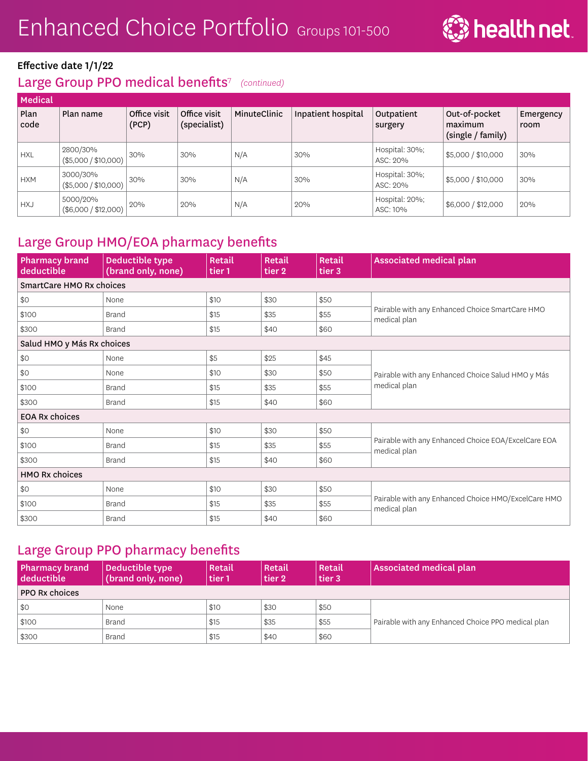

## Large Group PPO medical benefits<sup>7</sup> (continued)

| Medical      |                                  |                       |                              |              |                    |                            |                                               |                   |  |  |
|--------------|----------------------------------|-----------------------|------------------------------|--------------|--------------------|----------------------------|-----------------------------------------------|-------------------|--|--|
| Plan<br>code | Plan name                        | Office visit<br>(PCP) | Office visit<br>(specialist) | MinuteClinic | Inpatient hospital | Outpatient<br>surgery      | Out-of-pocket<br>maximum<br>(single / family) | Emergency<br>room |  |  |
| <b>HXL</b>   | 2800/30%<br>(\$5,000 / \$10,000) | 30%                   | 30%                          | N/A          | 30%                | Hospital: 30%;<br>ASC: 20% | \$5,000 / \$10,000                            | 30%               |  |  |
| <b>HXM</b>   | 3000/30%<br>(\$5,000 / \$10,000) | 30%                   | 30%                          | N/A          | 30%                | Hospital: 30%;<br>ASC: 20% | \$5,000 / \$10,000                            | 30%               |  |  |
| <b>HXJ</b>   | 5000/20%<br>(\$6,000 / \$12,000) | 20%                   | 20%                          | N/A          | 20%                | Hospital: 20%;<br>ASC: 10% | \$6,000 / \$12,000                            | 20%               |  |  |

## Large Group HMO/EOA pharmacy benefits

| <b>Pharmacy brand</b><br>deductible | Deductible type<br>(brand only, none) | Retail<br>tier 1 | Retail<br>tier 2 | Retail<br>tier 3 | <b>Associated medical plan</b>                                      |
|-------------------------------------|---------------------------------------|------------------|------------------|------------------|---------------------------------------------------------------------|
| SmartCare HMO Rx choices            |                                       |                  |                  |                  |                                                                     |
| \$0                                 | None                                  | \$10             | \$30             | \$50             |                                                                     |
| \$100                               | <b>Brand</b>                          | \$15             | \$35             | \$55             | Pairable with any Enhanced Choice SmartCare HMO<br>medical plan     |
| \$300                               | <b>Brand</b>                          | \$15             | \$40             | \$60             |                                                                     |
| Salud HMO y Más Rx choices          |                                       |                  |                  |                  |                                                                     |
| \$0                                 | None                                  | \$5              | \$25             | \$45             |                                                                     |
| \$0                                 | None                                  | \$10             | \$30             | \$50             | Pairable with any Enhanced Choice Salud HMO y Más                   |
| \$100                               | <b>Brand</b>                          | \$15             | \$35             | \$55             | medical plan                                                        |
| \$300                               | <b>Brand</b>                          | \$15             | \$40             | \$60             |                                                                     |
| <b>EOA Rx choices</b>               |                                       |                  |                  |                  |                                                                     |
| \$0                                 | None                                  | \$10             | \$30             | \$50             |                                                                     |
| \$100                               | <b>Brand</b>                          | \$15             | \$35             | \$55             | Pairable with any Enhanced Choice EOA/ExcelCare EOA<br>medical plan |
| \$300                               | <b>Brand</b>                          | \$15             | \$40             | \$60             |                                                                     |
| <b>HMO Rx choices</b>               |                                       |                  |                  |                  |                                                                     |
| \$0                                 | None                                  | \$10             | \$30             | \$50             |                                                                     |
| \$100                               | <b>Brand</b>                          | \$15             | \$35             | \$55             | Pairable with any Enhanced Choice HMO/ExcelCare HMO<br>medical plan |
| \$300                               | <b>Brand</b>                          | \$15             | \$40             | \$60             |                                                                     |

### Large Group PPO pharmacy benefits

| <b>Pharmacy brand</b><br>deductible | Deductible type<br>(brand only, none) | Retail<br>tier 1 | Retail<br>tier 2 | Retail<br>tier 3 | Associated medical plan                            |
|-------------------------------------|---------------------------------------|------------------|------------------|------------------|----------------------------------------------------|
| <b>PPO Rx choices</b>               |                                       |                  |                  |                  |                                                    |
| \$0                                 | None                                  | \$10             | \$30             | \$50             |                                                    |
| \$100                               | Brand                                 | \$15             | \$35             | \$55             | Pairable with any Enhanced Choice PPO medical plan |
| \$300                               | <b>Brand</b>                          | \$15             | \$40             | \$60             |                                                    |